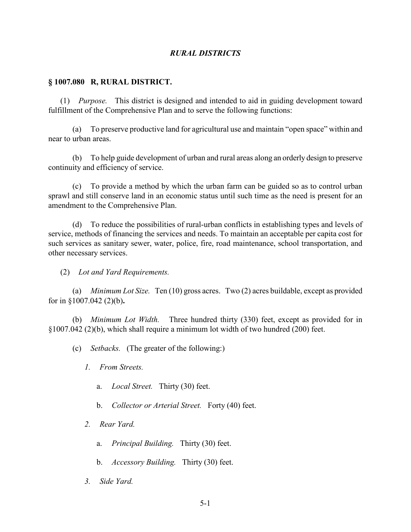## *RURAL DISTRICTS*

### **§ 1007.080 R, RURAL DISTRICT.**

(1) *Purpose.* This district is designed and intended to aid in guiding development toward fulfillment of the Comprehensive Plan and to serve the following functions:

(a) To preserve productive land for agricultural use and maintain "open space" within and near to urban areas.

(b) To help guide development of urban and rural areas along an orderly design to preserve continuity and efficiency of service.

(c) To provide a method by which the urban farm can be guided so as to control urban sprawl and still conserve land in an economic status until such time as the need is present for an amendment to the Comprehensive Plan.

(d) To reduce the possibilities of rural-urban conflicts in establishing types and levels of service, methods of financing the services and needs. To maintain an acceptable per capita cost for such services as sanitary sewer, water, police, fire, road maintenance, school transportation, and other necessary services.

(2) *Lot and Yard Requirements.*

(a) *Minimum Lot Size.* Ten (10) gross acres. Two (2) acres buildable, except as provided for in §1007.042 (2)(b)**.**

(b) *Minimum Lot Width.* Three hundred thirty (330) feet, except as provided for in §1007.042 (2)(b), which shall require a minimum lot width of two hundred (200) feet.

(c) *Setbacks.* (The greater of the following:)

- *1. From Streets.*
	- a. *Local Street.* Thirty (30) feet.
	- b. *Collector or Arterial Street.* Forty (40) feet.
- *2. Rear Yard.*
	- a. *Principal Building.* Thirty (30) feet.
	- b. *Accessory Building.* Thirty (30) feet.
- *3. Side Yard.*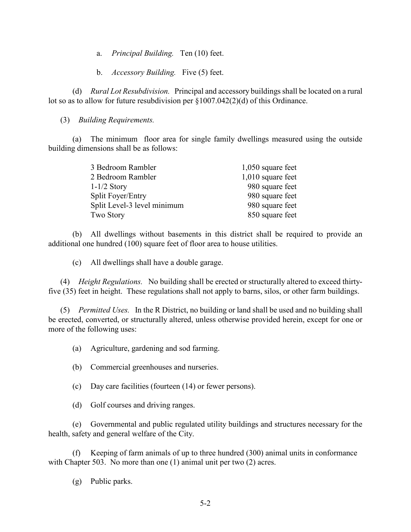- a. *Principal Building.* Ten (10) feet.
- b. *Accessory Building.* Five (5) feet.

(d) *Rural Lot Resubdivision.* Principal and accessory buildings shall be located on a rural lot so as to allow for future resubdivision per §1007.042(2)(d) of this Ordinance.

#### (3) *Building Requirements.*

(a) The minimum floor area for single family dwellings measured using the outside building dimensions shall be as follows:

| $1,050$ square feet |
|---------------------|
| 1,010 square feet   |
| 980 square feet     |
| 980 square feet     |
| 980 square feet     |
| 850 square feet     |
|                     |

(b) All dwellings without basements in this district shall be required to provide an additional one hundred (100) square feet of floor area to house utilities.

(c) All dwellings shall have a double garage.

(4) *Height Regulations.* No building shall be erected or structurally altered to exceed thirtyfive (35) feet in height. These regulations shall not apply to barns, silos, or other farm buildings.

(5) *Permitted Uses.* In the R District, no building or land shall be used and no building shall be erected, converted, or structurally altered, unless otherwise provided herein, except for one or more of the following uses:

(a) Agriculture, gardening and sod farming.

(b) Commercial greenhouses and nurseries.

(c) Day care facilities (fourteen (14) or fewer persons).

(d) Golf courses and driving ranges.

(e) Governmental and public regulated utility buildings and structures necessary for the health, safety and general welfare of the City.

(f) Keeping of farm animals of up to three hundred (300) animal units in conformance with Chapter 503. No more than one (1) animal unit per two (2) acres.

(g) Public parks.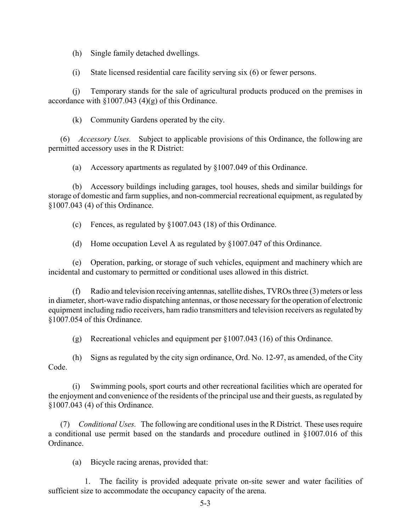(h) Single family detached dwellings.

(i) State licensed residential care facility serving six (6) or fewer persons.

(j) Temporary stands for the sale of agricultural products produced on the premises in accordance with  $\S 1007.043$  (4)(g) of this Ordinance.

(k) Community Gardens operated by the city.

(6) *Accessory Uses.* Subject to applicable provisions of this Ordinance, the following are permitted accessory uses in the R District:

(a) Accessory apartments as regulated by §1007.049 of this Ordinance.

(b) Accessory buildings including garages, tool houses, sheds and similar buildings for storage of domestic and farm supplies, and non-commercial recreational equipment, as regulated by §1007.043 (4) of this Ordinance.

(c) Fences, as regulated by §1007.043 (18) of this Ordinance.

(d) Home occupation Level A as regulated by §1007.047 of this Ordinance.

(e) Operation, parking, or storage of such vehicles, equipment and machinery which are incidental and customary to permitted or conditional uses allowed in this district.

(f) Radio and television receiving antennas, satellite dishes, TVROs three (3) meters or less in diameter, short-wave radio dispatching antennas, or those necessary for the operation of electronic equipment including radio receivers, ham radio transmitters and television receivers as regulated by §1007.054 of this Ordinance.

(g) Recreational vehicles and equipment per §1007.043 (16) of this Ordinance.

(h) Signs as regulated by the city sign ordinance, Ord. No. 12-97, as amended, of the City Code.

(i) Swimming pools, sport courts and other recreational facilities which are operated for the enjoyment and convenience of the residents of the principal use and their guests, as regulated by §1007.043 (4) of this Ordinance.

(7) *Conditional Uses.* The following are conditional uses in the R District. These uses require a conditional use permit based on the standards and procedure outlined in §1007.016 of this Ordinance.

(a) Bicycle racing arenas, provided that:

1. The facility is provided adequate private on-site sewer and water facilities of sufficient size to accommodate the occupancy capacity of the arena.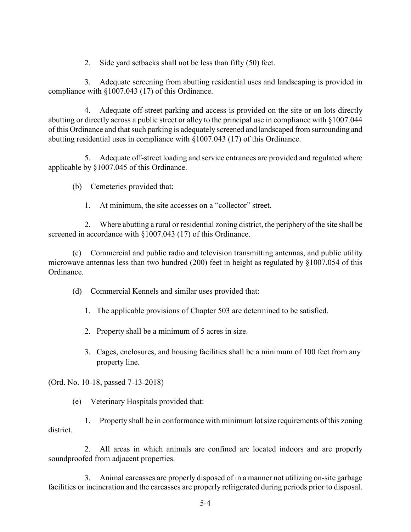2. Side yard setbacks shall not be less than fifty (50) feet.

3. Adequate screening from abutting residential uses and landscaping is provided in compliance with §1007.043 (17) of this Ordinance.

4. Adequate off-street parking and access is provided on the site or on lots directly abutting or directly across a public street or alley to the principal use in compliance with §1007.044 of this Ordinance and that such parking is adequately screened and landscaped from surrounding and abutting residential uses in compliance with §1007.043 (17) of this Ordinance.

5. Adequate off-street loading and service entrances are provided and regulated where applicable by §1007.045 of this Ordinance.

(b) Cemeteries provided that:

1. At minimum, the site accesses on a "collector" street.

2. Where abutting a rural or residential zoning district, the periphery of the site shall be screened in accordance with §1007.043 (17) of this Ordinance.

Commercial and public radio and television transmitting antennas, and public utility microwave antennas less than two hundred (200) feet in height as regulated by §1007.054 of this Ordinance.

(d) Commercial Kennels and similar uses provided that:

- 1. The applicable provisions of Chapter 503 are determined to be satisfied.
- 2. Property shall be a minimum of 5 acres in size.
- 3. Cages, enclosures, and housing facilities shall be a minimum of 100 feet from any property line.

(Ord. No. 10-18, passed 7-13-2018)

(e) Veterinary Hospitals provided that:

1. Property shall be in conformance with minimum lot size requirements of this zoning district.

2. All areas in which animals are confined are located indoors and are properly soundproofed from adjacent properties.

3. Animal carcasses are properly disposed of in a manner not utilizing on-site garbage facilities or incineration and the carcasses are properly refrigerated during periods prior to disposal.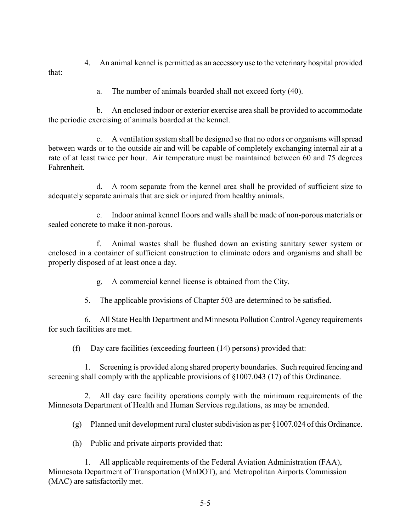4. An animal kennel is permitted as an accessory use to the veterinary hospital provided that:

a. The number of animals boarded shall not exceed forty (40).

b. An enclosed indoor or exterior exercise area shall be provided to accommodate the periodic exercising of animals boarded at the kennel.

c. A ventilation system shall be designed so that no odors or organisms will spread between wards or to the outside air and will be capable of completely exchanging internal air at a rate of at least twice per hour. Air temperature must be maintained between 60 and 75 degrees Fahrenheit.

d. A room separate from the kennel area shall be provided of sufficient size to adequately separate animals that are sick or injured from healthy animals.

e. Indoor animal kennel floors and walls shall be made of non-porous materials or sealed concrete to make it non-porous.

f. Animal wastes shall be flushed down an existing sanitary sewer system or enclosed in a container of sufficient construction to eliminate odors and organisms and shall be properly disposed of at least once a day.

g. A commercial kennel license is obtained from the City.

5. The applicable provisions of Chapter 503 are determined to be satisfied.

6. All State Health Department and Minnesota Pollution Control Agency requirements for such facilities are met.

(f) Day care facilities (exceeding fourteen (14) persons) provided that:

1. Screening is provided along shared property boundaries. Such required fencing and screening shall comply with the applicable provisions of §1007.043 (17) of this Ordinance.

2. All day care facility operations comply with the minimum requirements of the Minnesota Department of Health and Human Services regulations, as may be amended.

(g) Planned unit development rural cluster subdivision as per  $\S 1007.024$  of this Ordinance.

(h) Public and private airports provided that:

1. All applicable requirements of the Federal Aviation Administration (FAA), Minnesota Department of Transportation (MnDOT), and Metropolitan Airports Commission (MAC) are satisfactorily met.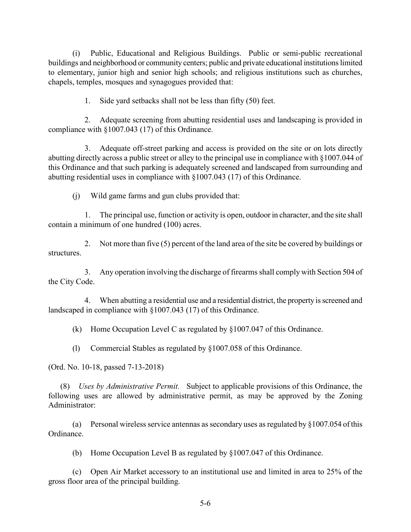(i) Public, Educational and Religious Buildings. Public or semi-public recreational buildings and neighborhood or community centers; public and private educational institutions limited to elementary, junior high and senior high schools; and religious institutions such as churches, chapels, temples, mosques and synagogues provided that:

1. Side yard setbacks shall not be less than fifty (50) feet.

2. Adequate screening from abutting residential uses and landscaping is provided in compliance with §1007.043 (17) of this Ordinance.

3. Adequate off-street parking and access is provided on the site or on lots directly abutting directly across a public street or alley to the principal use in compliance with §1007.044 of this Ordinance and that such parking is adequately screened and landscaped from surrounding and abutting residential uses in compliance with §1007.043 (17) of this Ordinance.

(j) Wild game farms and gun clubs provided that:

1. The principal use, function or activity is open, outdoor in character, and the site shall contain a minimum of one hundred (100) acres.

2. Not more than five (5) percent of the land area of the site be covered by buildings or structures.

3. Any operation involving the discharge of firearms shall comply with Section 504 of the City Code.

4. When abutting a residential use and a residential district, the property is screened and landscaped in compliance with §1007.043 (17) of this Ordinance.

(k) Home Occupation Level C as regulated by §1007.047 of this Ordinance.

(l) Commercial Stables as regulated by §1007.058 of this Ordinance.

(Ord. No. 10-18, passed 7-13-2018)

(8) *Uses by Administrative Permit.* Subject to applicable provisions of this Ordinance, the following uses are allowed by administrative permit, as may be approved by the Zoning Administrator:

(a) Personal wireless service antennas as secondary uses as regulated by §1007.054 of this Ordinance.

(b) Home Occupation Level B as regulated by §1007.047 of this Ordinance.

(c) Open Air Market accessory to an institutional use and limited in area to 25% of the gross floor area of the principal building.

5-6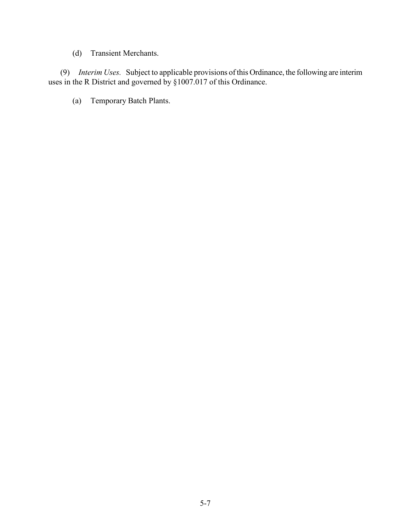(d) Transient Merchants.

(9) *Interim Uses.* Subject to applicable provisions of this Ordinance, the following are interim uses in the R District and governed by §1007.017 of this Ordinance.

(a) Temporary Batch Plants.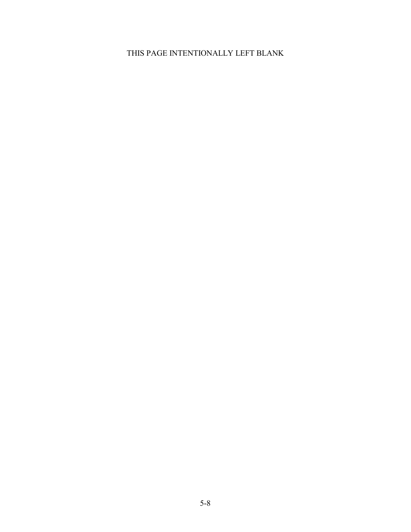# THIS PAGE INTENTIONALLY LEFT BLANK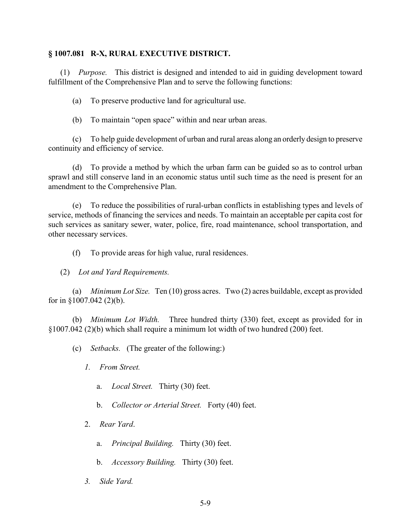## **§ 1007.081 R-X, RURAL EXECUTIVE DISTRICT.**

(1) *Purpose.* This district is designed and intended to aid in guiding development toward fulfillment of the Comprehensive Plan and to serve the following functions:

(a) To preserve productive land for agricultural use.

(b) To maintain "open space" within and near urban areas.

(c) To help guide development of urban and rural areas along an orderly design to preserve continuity and efficiency of service.

(d) To provide a method by which the urban farm can be guided so as to control urban sprawl and still conserve land in an economic status until such time as the need is present for an amendment to the Comprehensive Plan.

(e) To reduce the possibilities of rural-urban conflicts in establishing types and levels of service, methods of financing the services and needs. To maintain an acceptable per capita cost for such services as sanitary sewer, water, police, fire, road maintenance, school transportation, and other necessary services.

(f) To provide areas for high value, rural residences.

(2) *Lot and Yard Requirements.*

(a) *Minimum Lot Size.* Ten (10) gross acres. Two (2) acres buildable, except as provided for in §1007.042 (2)(b).

(b) *Minimum Lot Width.* Three hundred thirty (330) feet, except as provided for in §1007.042 (2)(b) which shall require a minimum lot width of two hundred (200) feet.

(c) *Setbacks.* (The greater of the following:)

- *1. From Street.*
	- a. *Local Street.* Thirty (30) feet.
	- b. *Collector or Arterial Street.* Forty (40) feet.
- 2. *Rear Yard*.
	- a. *Principal Building.* Thirty (30) feet.
	- b. *Accessory Building.* Thirty (30) feet.
- *3. Side Yard.*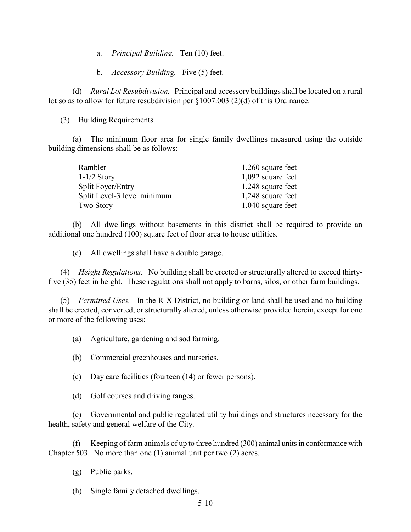- a. *Principal Building.* Ten (10) feet.
- b. *Accessory Building.* Five (5) feet.

(d) *Rural Lot Resubdivision.* Principal and accessory buildings shall be located on a rural lot so as to allow for future resubdivision per §1007.003 (2)(d) of this Ordinance.

(3) Building Requirements.

(a) The minimum floor area for single family dwellings measured using the outside building dimensions shall be as follows:

| Rambler                     | $1,260$ square feet |
|-----------------------------|---------------------|
| $1-1/2$ Story               | $1,092$ square feet |
| <b>Split Foyer/Entry</b>    | 1,248 square feet   |
| Split Level-3 level minimum | 1,248 square feet   |
| <b>Two Story</b>            | $1,040$ square feet |

(b) All dwellings without basements in this district shall be required to provide an additional one hundred (100) square feet of floor area to house utilities.

(c) All dwellings shall have a double garage.

(4) *Height Regulations.* No building shall be erected or structurally altered to exceed thirtyfive (35) feet in height. These regulations shall not apply to barns, silos, or other farm buildings.

(5) *Permitted Uses.* In the R-X District, no building or land shall be used and no building shall be erected, converted, or structurally altered, unless otherwise provided herein, except for one or more of the following uses:

(a) Agriculture, gardening and sod farming.

(b) Commercial greenhouses and nurseries.

(c) Day care facilities (fourteen (14) or fewer persons).

(d) Golf courses and driving ranges.

(e) Governmental and public regulated utility buildings and structures necessary for the health, safety and general welfare of the City.

(f) Keeping of farm animals of up to three hundred (300) animal units in conformance with Chapter 503. No more than one (1) animal unit per two (2) acres.

- (g) Public parks.
- (h) Single family detached dwellings.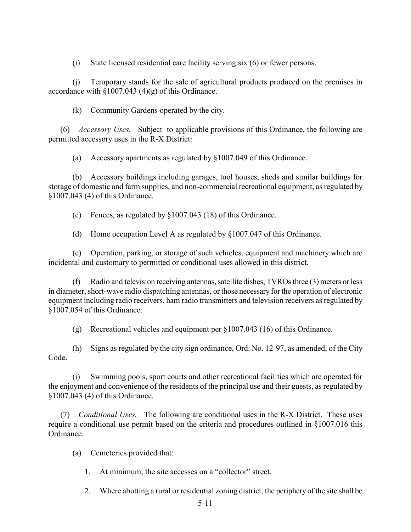(i) State licensed residential care facility serving six (6) or fewer persons.

(j) Temporary stands for the sale of agricultural products produced on the premises in accordance with  $\S 1007.043$  (4)(g) of this Ordinance.

(k) Community Gardens operated by the city.

(6) *Accessory Uses.* Subject to applicable provisions of this Ordinance, the following are permitted accessory uses in the R-X District:

(a) Accessory apartments as regulated by §1007.049 of this Ordinance.

(b) Accessory buildings including garages, tool houses, sheds and similar buildings for storage of domestic and farm supplies, and non-commercial recreational equipment, as regulated by §1007.043 (4) of this Ordinance.

(c) Fences, as regulated by §1007.043 (18) of this Ordinance.

(d) Home occupation Level A as regulated by §1007.047 of this Ordinance.

(e) Operation, parking, or storage of such vehicles, equipment and machinery which are incidental and customary to permitted or conditional uses allowed in this district.

(f) Radio and television receiving antennas, satellite dishes, TVROs three (3) meters or less in diameter, short-wave radio dispatching antennas, or those necessary for the operation of electronic equipment including radio receivers, ham radio transmitters and television receivers as regulated by §1007.054 of this Ordinance.

(g) Recreational vehicles and equipment per  $\S 1007.043$  (16) of this Ordinance.

(h) Signs as regulated by the city sign ordinance, Ord. No. 12-97, as amended, of the City Code.

(i) Swimming pools, sport courts and other recreational facilities which are operated for the enjoyment and convenience of the residents of the principal use and their guests, as regulated by §1007.043 (4) of this Ordinance.

(7) *Conditional Uses.* The following are conditional uses in the R-X District. These uses require a conditional use permit based on the criteria and procedures outlined in §1007.016 this Ordinance.

(a) Cemeteries provided that:

1. At minimum, the site accesses on a "collector" street.

2. Where abutting a rural or residential zoning district, the periphery of the site shall be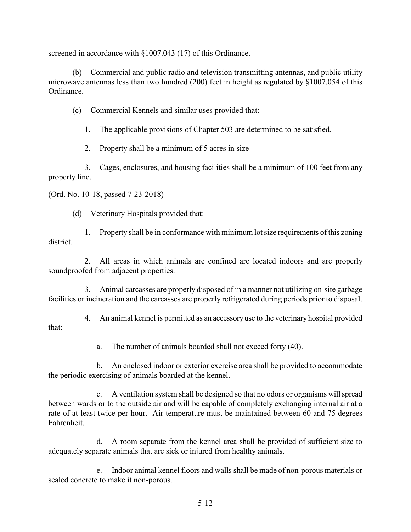screened in accordance with §1007.043 (17) of this Ordinance.

(b) Commercial and public radio and television transmitting antennas, and public utility microwave antennas less than two hundred (200) feet in height as regulated by §1007.054 of this Ordinance.

(c) Commercial Kennels and similar uses provided that:

1. The applicable provisions of Chapter 503 are determined to be satisfied.

2. Property shall be a minimum of 5 acres in size

3. Cages, enclosures, and housing facilities shall be a minimum of 100 feet from any property line.

(Ord. No. 10-18, passed 7-23-2018)

(d) Veterinary Hospitals provided that:

1. Property shall be in conformance with minimum lot size requirements of this zoning district.

2. All areas in which animals are confined are located indoors and are properly soundproofed from adjacent properties.

3. Animal carcasses are properly disposed of in a manner not utilizing on-site garbage facilities or incineration and the carcasses are properly refrigerated during periods prior to disposal.

4. An animal kennel is permitted as an accessory use to the veterinary hospital provided that:

a. The number of animals boarded shall not exceed forty (40).

b. An enclosed indoor or exterior exercise area shall be provided to accommodate the periodic exercising of animals boarded at the kennel.

c. A ventilation system shall be designed so that no odors or organisms will spread between wards or to the outside air and will be capable of completely exchanging internal air at a rate of at least twice per hour. Air temperature must be maintained between 60 and 75 degrees Fahrenheit.

d. A room separate from the kennel area shall be provided of sufficient size to adequately separate animals that are sick or injured from healthy animals.

e. Indoor animal kennel floors and walls shall be made of non-porous materials or sealed concrete to make it non-porous.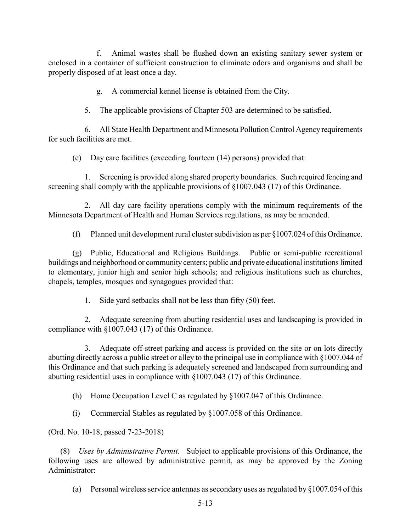f. Animal wastes shall be flushed down an existing sanitary sewer system or enclosed in a container of sufficient construction to eliminate odors and organisms and shall be properly disposed of at least once a day.

g. A commercial kennel license is obtained from the City.

5. The applicable provisions of Chapter 503 are determined to be satisfied.

6. All State Health Department and Minnesota Pollution Control Agency requirements for such facilities are met.

(e) Day care facilities (exceeding fourteen (14) persons) provided that:

1. Screening is provided along shared property boundaries. Such required fencing and screening shall comply with the applicable provisions of §1007.043 (17) of this Ordinance.

2. All day care facility operations comply with the minimum requirements of the Minnesota Department of Health and Human Services regulations, as may be amended.

(f) Planned unit development rural cluster subdivision as per §1007.024 of this Ordinance.

(g) Public, Educational and Religious Buildings. Public or semi-public recreational buildings and neighborhood or community centers; public and private educational institutions limited to elementary, junior high and senior high schools; and religious institutions such as churches, chapels, temples, mosques and synagogues provided that:

1. Side yard setbacks shall not be less than fifty (50) feet.

2. Adequate screening from abutting residential uses and landscaping is provided in compliance with §1007.043 (17) of this Ordinance.

3. Adequate off-street parking and access is provided on the site or on lots directly abutting directly across a public street or alley to the principal use in compliance with §1007.044 of this Ordinance and that such parking is adequately screened and landscaped from surrounding and abutting residential uses in compliance with §1007.043 (17) of this Ordinance.

(h) Home Occupation Level C as regulated by  $\S 1007.047$  of this Ordinance.

(i) Commercial Stables as regulated by §1007.058 of this Ordinance.

(Ord. No. 10-18, passed 7-23-2018)

Uses by Administrative Permit. Subject to applicable provisions of this Ordinance, the following uses are allowed by administrative permit, as may be approved by the Zoning Administrator:

(a) Personal wireless service antennas as secondary uses as regulated by §1007.054 of this